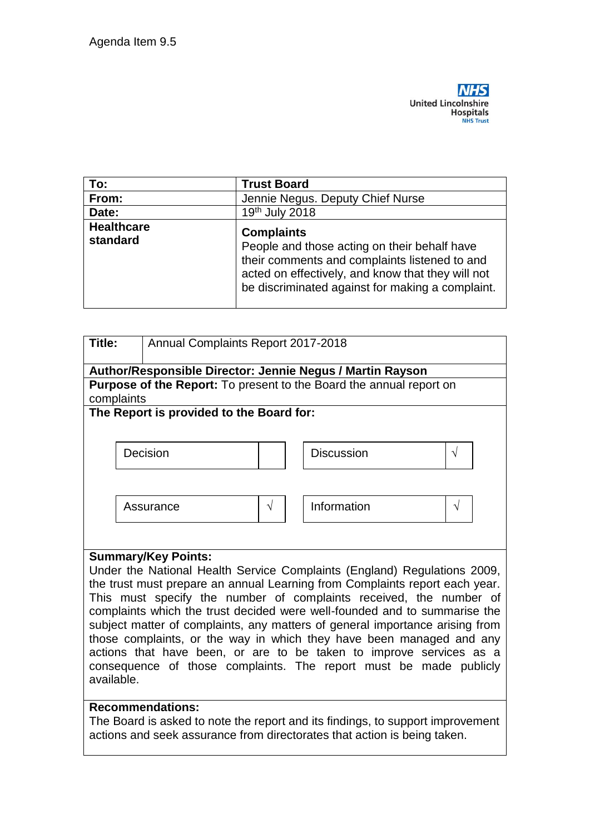

| To:                           | <b>Trust Board</b>                                                                                                                                                                                                          |  |  |
|-------------------------------|-----------------------------------------------------------------------------------------------------------------------------------------------------------------------------------------------------------------------------|--|--|
| From:                         | Jennie Negus. Deputy Chief Nurse                                                                                                                                                                                            |  |  |
| Date:                         | 19th July 2018                                                                                                                                                                                                              |  |  |
| <b>Healthcare</b><br>standard | <b>Complaints</b><br>People and those acting on their behalf have<br>their comments and complaints listened to and<br>acted on effectively, and know that they will not<br>be discriminated against for making a complaint. |  |  |

| Title:                                                                       | Annual Complaints Report 2017-2018 |            |                   |           |  |  |
|------------------------------------------------------------------------------|------------------------------------|------------|-------------------|-----------|--|--|
| Author/Responsible Director: Jennie Negus / Martin Rayson                    |                                    |            |                   |           |  |  |
| <b>Purpose of the Report:</b> To present to the Board the annual report on   |                                    |            |                   |           |  |  |
|                                                                              | complaints                         |            |                   |           |  |  |
| The Report is provided to the Board for:                                     |                                    |            |                   |           |  |  |
|                                                                              |                                    |            |                   |           |  |  |
|                                                                              | Decision                           |            | <b>Discussion</b> | $\sqrt{}$ |  |  |
|                                                                              |                                    |            |                   |           |  |  |
|                                                                              |                                    |            |                   |           |  |  |
|                                                                              |                                    |            |                   |           |  |  |
|                                                                              | Assurance                          | $\sqrt{ }$ | Information       | $\sqrt{}$ |  |  |
|                                                                              |                                    |            |                   |           |  |  |
|                                                                              |                                    |            |                   |           |  |  |
| <b>Summary/Key Points:</b>                                                   |                                    |            |                   |           |  |  |
| Under the National Health Service Complaints (England) Regulations 2009,     |                                    |            |                   |           |  |  |
| the trust must prepare an annual Learning from Complaints report each year.  |                                    |            |                   |           |  |  |
| This must specify the number of complaints received, the number of           |                                    |            |                   |           |  |  |
| complaints which the trust decided were well-founded and to summarise the    |                                    |            |                   |           |  |  |
| subject matter of complaints, any matters of general importance arising from |                                    |            |                   |           |  |  |
| those complaints, or the way in which they have been managed and any         |                                    |            |                   |           |  |  |
| actions that have been, or are to be taken to improve services as a          |                                    |            |                   |           |  |  |
| consequence of those complaints. The report must be made publicly            |                                    |            |                   |           |  |  |
| available.                                                                   |                                    |            |                   |           |  |  |

## **Recommendations:**

The Board is asked to note the report and its findings, to support improvement actions and seek assurance from directorates that action is being taken.